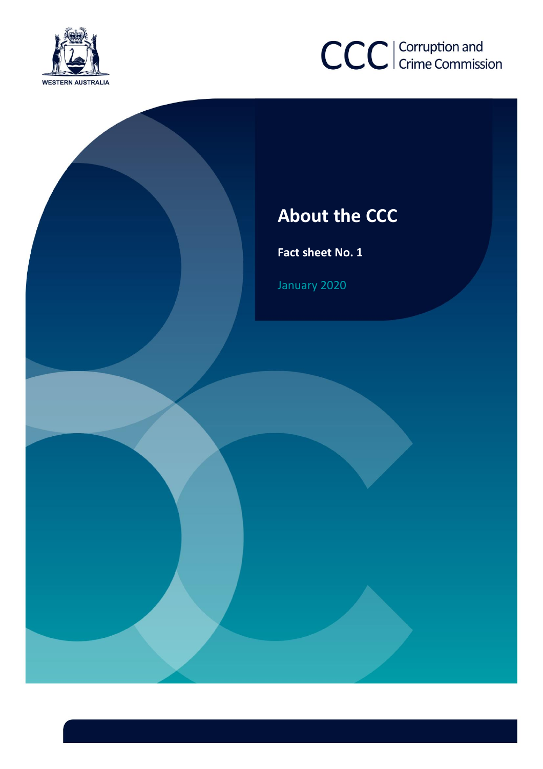



# **About the CCC**

**Fact sheet No. 1**

January 2020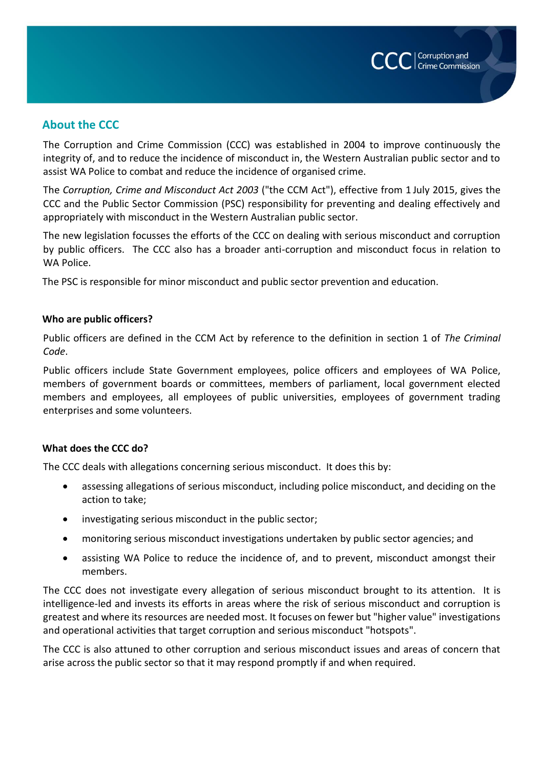

# **About the CCC**

The Corruption and Crime Commission (CCC) was established in 2004 to improve continuously the integrity of, and to reduce the incidence of misconduct in, the Western Australian public sector and to assist WA Police to combat and reduce the incidence of organised crime.

The *Corruption, Crime and Misconduct Act 2003* ("the CCM Act"), effective from 1 July 2015, gives the CCC and the Public Sector Commission (PSC) responsibility for preventing and dealing effectively and appropriately with misconduct in the Western Australian public sector.

The new legislation focusses the efforts of the CCC on dealing with serious misconduct and corruption by public officers. The CCC also has a broader anti-corruption and misconduct focus in relation to WA Police.

The PSC is responsible for minor misconduct and public sector prevention and education.

## **Who are public officers?**

Public officers are defined in the CCM Act by reference to the definition in section 1 of *The Criminal Code*.

Public officers include State Government employees, police officers and employees of WA Police, members of government boards or committees, members of parliament, local government elected members and employees, all employees of public universities, employees of government trading enterprises and some volunteers.

## **What does the CCC do?**

The CCC deals with allegations concerning serious misconduct. It does this by:

- assessing allegations of serious misconduct, including police misconduct, and deciding on the action to take;
- investigating serious misconduct in the public sector;
- monitoring serious misconduct investigations undertaken by public sector agencies; and
- assisting WA Police to reduce the incidence of, and to prevent, misconduct amongst their members.

The CCC does not investigate every allegation of serious misconduct brought to its attention. It is intelligence-led and invests its efforts in areas where the risk of serious misconduct and corruption is greatest and where its resources are needed most. It focuses on fewer but "higher value" investigations and operational activities that target corruption and serious misconduct "hotspots".

The CCC is also attuned to other corruption and serious misconduct issues and areas of concern that arise across the public sector so that it may respond promptly if and when required.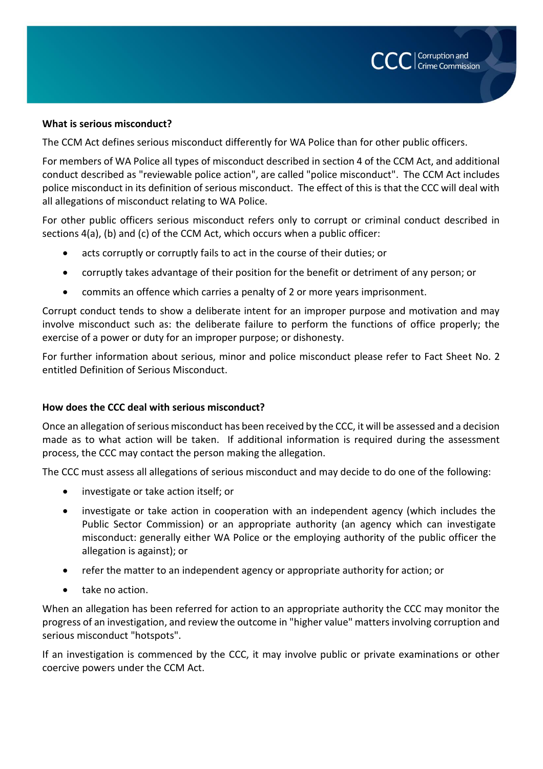

#### **What is serious misconduct?**

The CCM Act defines serious misconduct differently for WA Police than for other public officers.

For members of WA Police all types of misconduct described in section 4 of the CCM Act, and additional conduct described as "reviewable police action", are called "police misconduct". The CCM Act includes police misconduct in its definition of serious misconduct. The effect of this is that the CCC will deal with all allegations of misconduct relating to WA Police.

For other public officers serious misconduct refers only to corrupt or criminal conduct described in sections 4(a), (b) and (c) of the CCM Act, which occurs when a public officer:

- acts corruptly or corruptly fails to act in the course of their duties; or
- corruptly takes advantage of their position for the benefit or detriment of any person; or
- commits an offence which carries a penalty of 2 or more years imprisonment.

Corrupt conduct tends to show a deliberate intent for an improper purpose and motivation and may involve misconduct such as: the deliberate failure to perform the functions of office properly; the exercise of a power or duty for an improper purpose; or dishonesty.

For further information about serious, minor and police misconduct please refer to Fact Sheet No. 2 entitled Definition of Serious Misconduct.

#### **How does the CCC deal with serious misconduct?**

Once an allegation of serious misconduct has been received by the CCC, it will be assessed and a decision made as to what action will be taken. If additional information is required during the assessment process, the CCC may contact the person making the allegation.

The CCC must assess all allegations of serious misconduct and may decide to do one of the following:

- investigate or take action itself; or
- investigate or take action in cooperation with an independent agency (which includes the Public Sector Commission) or an appropriate authority (an agency which can investigate misconduct: generally either WA Police or the employing authority of the public officer the allegation is against); or
- refer the matter to an independent agency or appropriate authority for action; or
- take no action.

When an allegation has been referred for action to an appropriate authority the CCC may monitor the progress of an investigation, and review the outcome in "higher value" matters involving corruption and serious misconduct "hotspots".

If an investigation is commenced by the CCC, it may involve public or private examinations or other coercive powers under the CCM Act.